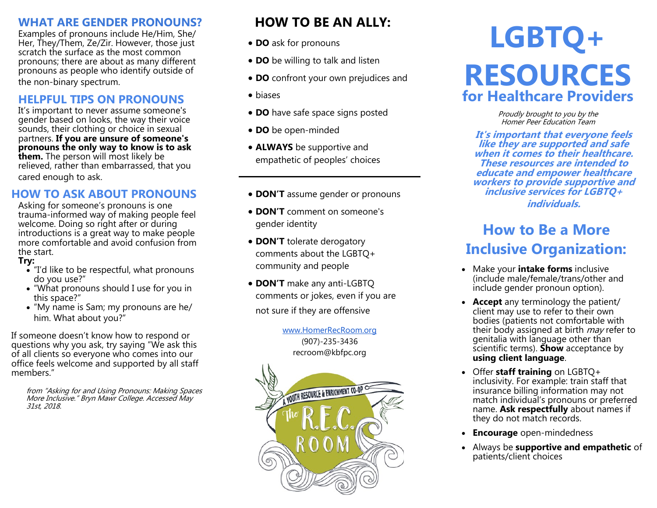## **WHAT ARE GENDER PRONOUNS?**

Examples of pronouns include He/Him, She/ Her, They/Them, Ze/Zir. However, those just scratch the surface as the most common pronouns; there are about as many different pronouns as people who identify outside of the non-binary spectrum.

## **HELPFUL TIPS ON PRONOUNS**

It's important to never assume someone's gender based on looks, the way their voice sounds, their clothing or choice in sexual partners. **If you are unsure of someone's pronouns the only way to know is to ask them.** The person will most likely be relieved, rather than embarrassed, that you cared enough to ask.

# **HOW TO ASK ABOUT PRONOUNS**

Asking for someone's pronouns is one trauma-informed way of making people feel welcome. Doing so right after or during introductions is a great way to make people more comfortable and avoid confusion from the start.

#### **Try:**

- "I'd like to be respectful, what pronouns do you use?"
- "What pronouns should I use for you in this space?"
- "My name is Sam; my pronouns are he/ him. What about you?"

If someone doesn't know how to respond or questions why you ask, try saying "We ask this of all clients so everyone who comes into our office feels welcome and supported by all staff members."

from "Asking for and Using Pronouns: Making Spaces More Inclusive." Bryn Mawr College. Accessed May 31st, 2018.

# **HOW TO BE AN ALLY:**

- **DO** ask for pronouns
- **DO** be willing to talk and listen
- **DO** confront your own prejudices and
- biases
- **DO** have safe space signs posted
- **DO** be open-minded
- **ALWAYS** be supportive and empathetic of peoples' choices
- **DON'T** assume gender or pronouns
- **DON'T** comment on someone's gender identity
- **DON'T** tolerate derogatory comments about the LGBTQ+ community and people
- **DON'T** make any anti-LGBTQ comments or jokes, even if you are not sure if they are offensive

[www.HomerRecRoom.org](http://www.homerrecroom.org) (907)-235-3436 recroom@kbfpc.org



# **LGBTQ+ RESOURCES for Healthcare Providers**

Proudly brought to you by the Homer Peer Education Team

**It's important that everyone feels like they are supported and safe when it comes to their healthcare. These resources are intended to educate and empower healthcare workers to provide supportive and inclusive services for LGBTQ+ individuals.**

# **How to Be a More Inclusive Organization:**

- Make your **intake forms** inclusive (include male/female/trans/other and include gender pronoun option).
- **Accept** any terminology the patient/ client may use to refer to their own bodies (patients not comfortable with their body assigned at birth  $may$  refer to genitalia with language other than scientific terms). **Show** acceptance by **using client language**.
- Offer **staff training** on LGBTQ+ inclusivity. For example: train staff that insurance billing information may not match individual's pronouns or preferred name. **Ask respectfully** about names if they do not match records.
- **Encourage** open-mindedness
- Always be **supportive and empathetic** of patients/client choices